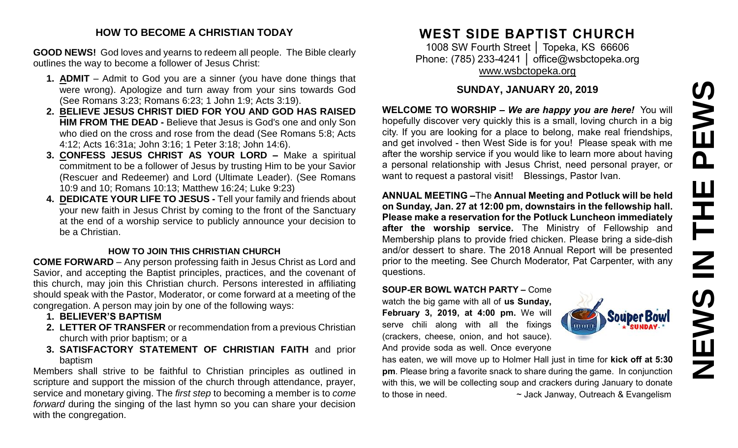# PEWS **NEWS IN THE PEWS**Ш IH<br>N<br>N<br>N **SARNE**

#### **HOW TO BECOME A CHRISTIAN TODAY**

**GOOD NEWS!** God loves and yearns to redeem all people. The Bible clearly outlines the way to become a follower of Jesus Christ:

- **1. ADMIT** Admit to God you are a sinner (you have done things that were wrong). Apologize and turn away from your sins towards God (See Romans 3:23; Romans 6:23; 1 John 1:9; Acts 3:19).
- **2. BELIEVE JESUS CHRIST DIED FOR YOU AND GOD HAS RAISED HIM FROM THE DEAD -** Believe that Jesus is God's one and only Son who died on the cross and rose from the dead (See Romans 5:8; Acts 4:12; Acts 16:31a; John 3:16; 1 Peter 3:18; John 14:6).
- **3. CONFESS JESUS CHRIST AS YOUR LORD –** Make a spiritual commitment to be a follower of Jesus by trusting Him to be your Savior (Rescuer and Redeemer) and Lord (Ultimate Leader). (See Romans 10:9 and 10; Romans 10:13; Matthew 16:24; Luke 9:23)
- **4. DEDICATE YOUR LIFE TO JESUS -** Tell your family and friends about your new faith in Jesus Christ by coming to the front of the Sanctuary at the end of a worship service to publicly announce your decision to be a Christian.

#### **HOW TO JOIN THIS CHRISTIAN CHURCH**

**COME FORWARD** – Any person professing faith in Jesus Christ as Lord and Savior, and accepting the Baptist principles, practices, and the covenant of this church, may join this Christian church. Persons interested in affiliating should speak with the Pastor, Moderator, or come forward at a meeting of the congregation. A person may join by one of the following ways:

- **1. BELIEVER'S BAPTISM**
- **2. LETTER OF TRANSFER** or recommendation from a previous Christian church with prior baptism; or a
- **3. SATISFACTORY STATEMENT OF CHRISTIAN FAITH** and prior baptism

Members shall strive to be faithful to Christian principles as outlined in scripture and support the mission of the church through attendance, prayer, service and monetary giving. The *first step* to becoming a member is to *come forward* during the singing of the last hymn so you can share your decision with the congregation.

# **WEST SIDE BAPTIST CHURCH**

1008 SW Fourth Street | Topeka, KS 66606 Phone: (785) 233-4241 │ [office@wsbctopeka.org](mailto:office@wsbctopeka.org) [www.wsbctopeka.org](http://www.wsbctopeka.org/)

# **SUNDAY, JANUARY 20, 2019**

**WELCOME TO WORSHIP –** *We are happy you are here!* You will hopefully discover very quickly this is a small, loving church in a big city. If you are looking for a place to belong, make real friendships, and get involved - then West Side is for you! Please speak with me after the worship service if you would like to learn more about having a personal relationship with Jesus Christ, need personal prayer, or want to request a pastoral visit! Blessings, Pastor Ivan.

**ANNUAL MEETING –**The **Annual Meeting and Potluck will be held on Sunday, Jan. 27 at 12:00 pm, downstairs in the fellowship hall. Please make a reservation for the Potluck Luncheon immediately after the worship service.** The Ministry of Fellowship and Membership plans to provide fried chicken. Please bring a side-dish and/or dessert to share. The 2018 Annual Report will be presented prior to the meeting. See Church Moderator, Pat Carpenter, with any questions.

**SOUP-ER BOWL WATCH PARTY –** Come watch the big game with all of **us Sunday, February 3, 2019, at 4:00 pm.** We will serve chili along with all the fixings (crackers, cheese, onion, and hot sauce). And provide soda as well. Once everyone



has eaten, we will move up to Holmer Hall just in time for **kick off at 5:30 pm**. Please bring a favorite snack to share during the game. In conjunction with this, we will be collecting soup and crackers during January to donate to those in need.  $\sim$  Jack Janway, Outreach & Evangelism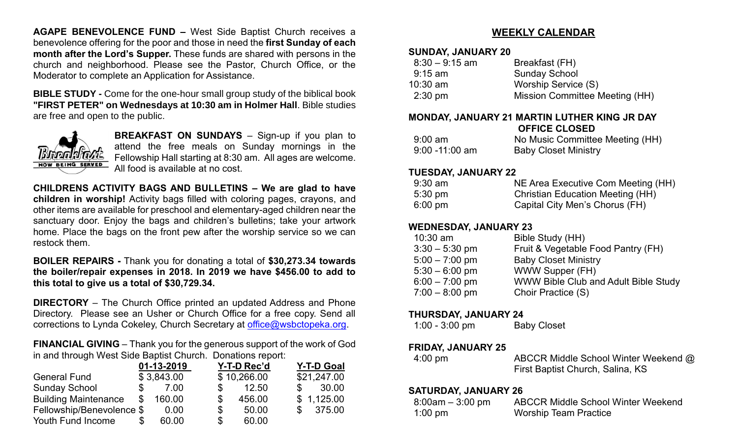**AGAPE BENEVOLENCE FUND –** West Side Baptist Church receives a benevolence offering for the poor and those in need the **first Sunday of each month after the Lord's Supper.** These funds are shared with persons in the church and neighborhood. Please see the Pastor, Church Office, or the Moderator to complete an Application for Assistance.

**BIBLE STUDY -** Come for the one-hour small group study of the biblical book **"FIRST PETER" on Wednesdays at 10:30 am in Holmer Hall**. Bible studies are free and open to the public.



**BREAKFAST ON SUNDAYS** – Sign-up if you plan to attend the free meals on Sunday mornings in the Fellowship Hall starting at 8:30 am. All ages are welcome. All food is available at no cost.

**CHILDRENS ACTIVITY BAGS AND BULLETINS – We are glad to have children in worship!** Activity bags filled with coloring pages, crayons, and other items are available for preschool and elementary-aged children near the sanctuary door. Enjoy the bags and children's bulletins; take your artwork home. Place the bags on the front pew after the worship service so we can restock them.

#### **BOILER REPAIRS -** Thank you for donating a total of **\$30,273.34 towards the boiler/repair expenses in 2018. In 2019 we have \$456.00 to add to this total to give us a total of \$30,729.34.**

**DIRECTORY** – The Church Office printed an updated Address and Phone Directory. Please see an Usher or Church Office for a free copy. Send all corrections to Lynda Cokeley, Church Secretary at [office@wsbctopeka.org.](mailto:office@wsbctopeka.org)

**FINANCIAL GIVING** – Thank you for the generous support of the work of God in and through West Side Baptist Church. Donations report:

|                             |              | 01-13-2019 | Y-T-D Rec'd |        |    | <b>Y-T-D Goal</b> |
|-----------------------------|--------------|------------|-------------|--------|----|-------------------|
| <b>General Fund</b>         |              | \$3,843.00 | \$10,266.00 |        |    | \$21,247.00       |
| <b>Sunday School</b>        |              | 7.00       |             | 12.50  | S. | 30.00             |
| <b>Building Maintenance</b> | $\mathbb{S}$ | 160.00     | \$          | 456.00 |    | \$1,125.00        |
| Fellowship/Benevolence \$   |              | 0.00       | \$          | 50.00  |    | \$375.00          |
| Youth Fund Income           |              | 60.00      | \$          | 60.00  |    |                   |

# **WEEKLY CALENDAR**

#### **SUNDAY, JANUARY 20**

| Breakfast (FH)                 |
|--------------------------------|
| <b>Sunday School</b>           |
| Worship Service (S)            |
| Mission Committee Meeting (HH) |
|                                |

#### **MONDAY, JANUARY 21 MARTIN LUTHER KING JR DAY OFFICE CLOSED**

| $9:00 \text{ am}$ | No Music Committee Meeting (HH) |
|-------------------|---------------------------------|
| $9:00 - 11:00$ am | <b>Baby Closet Ministry</b>     |

#### **TUESDAY, JANUARY 22**

| $9:30$ am         | NE Area Executive Com Meeting (HH)      |
|-------------------|-----------------------------------------|
| $5:30 \text{ pm}$ | <b>Christian Education Meeting (HH)</b> |
| $6:00 \text{ pm}$ | Capital City Men's Chorus (FH)          |

#### **WEDNESDAY, JANUARY 23**

| Bible Study (HH)                            |
|---------------------------------------------|
| Fruit & Vegetable Food Pantry (FH)          |
| <b>Baby Closet Ministry</b>                 |
| <b>WWW Supper (FH)</b>                      |
| <b>WWW Bible Club and Adult Bible Study</b> |
| Choir Practice (S)                          |
|                                             |

#### **THURSDAY, JANUARY 24**

1:00 - 3:00 pm Baby Closet

## **FRIDAY, JANUARY 25**

 4:00 pm ABCCR Middle School Winter Weekend @ First Baptist Church, Salina, KS

#### **SATURDAY, JANUARY 26**

| $8:00$ am $-3:00$ pm | <b>ABCCR Middle School Winter Weekend</b> |
|----------------------|-------------------------------------------|
| $1:00 \text{ pm}$    | <b>Worship Team Practice</b>              |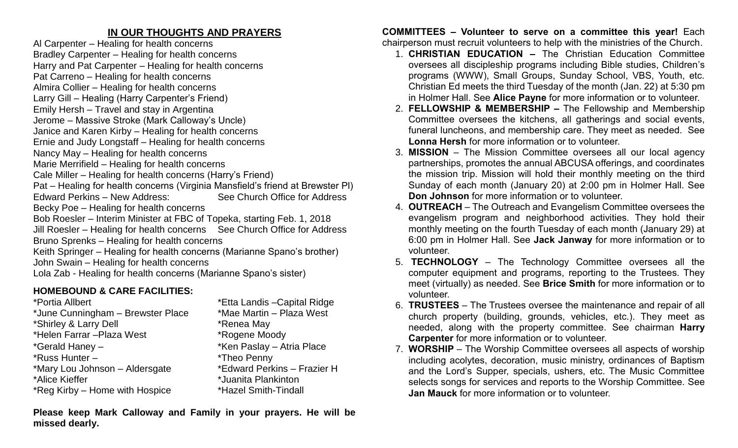# **IN OUR THOUGHTS AND PRAYERS**

Al Carpenter – Healing for health concerns Bradley Carpenter – Healing for health concerns

Harry and Pat Carpenter – Healing for health concerns

Pat Carreno – Healing for health concerns

- Almira Collier Healing for health concerns
- Larry Gill Healing (Harry Carpenter's Friend)
- Emily Hersh Travel and stay in Argentina

Jerome – Massive Stroke (Mark Calloway's Uncle)

Janice and Karen Kirby – Healing for health concerns

Ernie and Judy Longstaff – Healing for health concerns

Nancy May – Healing for health concerns

Marie Merrifield – Healing for health concerns

Cale Miller – Healing for health concerns (Harry's Friend)

Pat – Healing for health concerns (Virginia Mansfield's friend at Brewster Pl) Edward Perkins – New Address: See Church Office for Address

Becky Poe – Healing for health concerns

Bob Roesler – Interim Minister at FBC of Topeka, starting Feb. 1, 2018 Jill Roesler – Healing for health concerns See Church Office for Address

Bruno Sprenks – Healing for health concerns

Keith Springer – Healing for health concerns (Marianne Spano's brother) John Swain – Healing for health concerns

Lola Zab - Healing for health concerns (Marianne Spano's sister)

# **HOMEBOUND & CARE FACILITIES:**

\*Portia Allbert \*Etta Landis –Capital Ridge \*June Cunningham – Brewster Place \*Mae Martin – Plaza West \*Shirley & Larry Dell \*Renea May \*Helen Farrar –Plaza West \*Rogene Moody \*Gerald Haney – \* \*Ken Paslay – Atria Place \*Russ Hunter – \*Theo Penny \*Mary Lou Johnson – Aldersgate \*Edward Perkins – Frazier H \*Alice Kieffer \*Juanita Plankinton \*Reg Kirby – Home with Hospice \*Hazel Smith-Tindall

**Please keep Mark Calloway and Family in your prayers. He will be missed dearly.** 

**COMMITTEES – Volunteer to serve on a committee this year!** Each chairperson must recruit volunteers to help with the ministries of the Church.

- 1. **CHRISTIAN EDUCATION –** The Christian Education Committee oversees all discipleship programs including Bible studies, Children's programs (WWW), Small Groups, Sunday School, VBS, Youth, etc. Christian Ed meets the third Tuesday of the month (Jan. 22) at 5:30 pm in Holmer Hall. See **Alice Payne** for more information or to volunteer.
- 2. **FELLOWSHIP & MEMBERSHIP –** The Fellowship and Membership Committee oversees the kitchens, all gatherings and social events, funeral luncheons, and membership care. They meet as needed. See **Lonna Hersh** for more information or to volunteer.
- 3. **MISSION** The Mission Committee oversees all our local agency partnerships, promotes the annual ABCUSA offerings, and coordinates the mission trip. Mission will hold their monthly meeting on the third Sunday of each month (January 20) at 2:00 pm in Holmer Hall. See **Don Johnson** for more information or to volunteer.
- 4. **OUTREACH** The Outreach and Evangelism Committee oversees the evangelism program and neighborhood activities. They hold their monthly meeting on the fourth Tuesday of each month (January 29) at 6:00 pm in Holmer Hall. See **Jack Janway** for more information or to volunteer.
- 5. **TECHNOLOGY** The Technology Committee oversees all the computer equipment and programs, reporting to the Trustees. They meet (virtually) as needed. See **Brice Smith** for more information or to volunteer.
- 6. **TRUSTEES**  The Trustees oversee the maintenance and repair of all church property (building, grounds, vehicles, etc.). They meet as needed, along with the property committee. See chairman **Harry Carpenter** for more information or to volunteer.
- 7. **WORSHIP** The Worship Committee oversees all aspects of worship including acolytes, decoration, music ministry, ordinances of Baptism and the Lord's Supper, specials, ushers, etc. The Music Committee selects songs for services and reports to the Worship Committee. See **Jan Mauck** for more information or to volunteer.